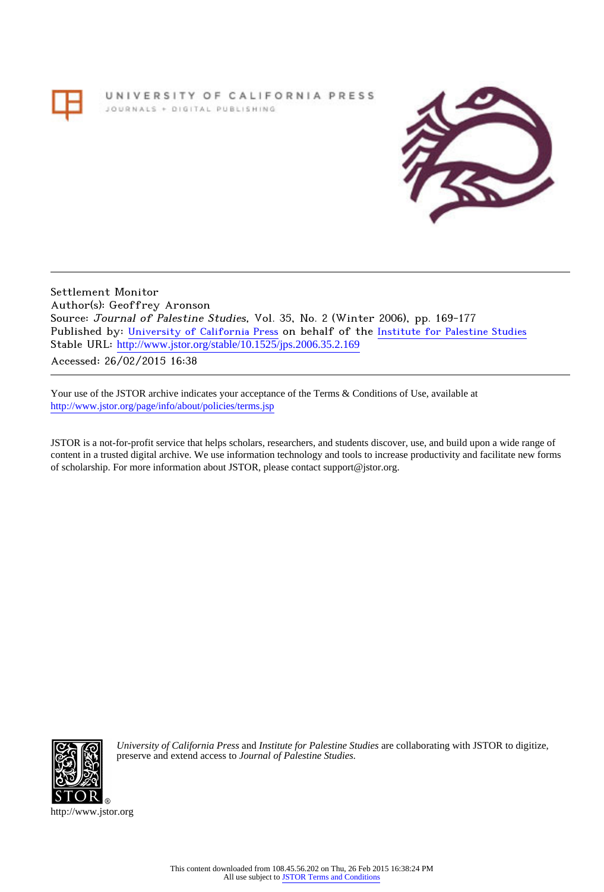# UNIVERSITY OF CALIFORNIA PRESS JOURNALS + DIGITAL PUBLISHING



Settlement Monitor Author(s): Geoffrey Aronson Source: Journal of Palestine Studies, Vol. 35, No. 2 (Winter 2006), pp. 169-177 Published by: [University of California Press](http://www.jstor.org/action/showPublisher?publisherCode=ucal) on behalf of the [Institute for Palestine Studies](http://www.jstor.org/action/showPublisher?publisherCode=palstud) Stable URL: [http://www.jstor.org/stable/10.1525/jps.2006.35.2.169](http://www.jstor.org/stable/10.1525/jps.2006.35.2.169?origin=JSTOR-pdf) .

Accessed: 26/02/2015 16:38

Your use of the JSTOR archive indicates your acceptance of the Terms & Conditions of Use, available at <http://www.jstor.org/page/info/about/policies/terms.jsp>

JSTOR is a not-for-profit service that helps scholars, researchers, and students discover, use, and build upon a wide range of content in a trusted digital archive. We use information technology and tools to increase productivity and facilitate new forms of scholarship. For more information about JSTOR, please contact support@jstor.org.



*University of California Press* and *Institute for Palestine Studies* are collaborating with JSTOR to digitize, preserve and extend access to *Journal of Palestine Studies.*

http://www.jstor.org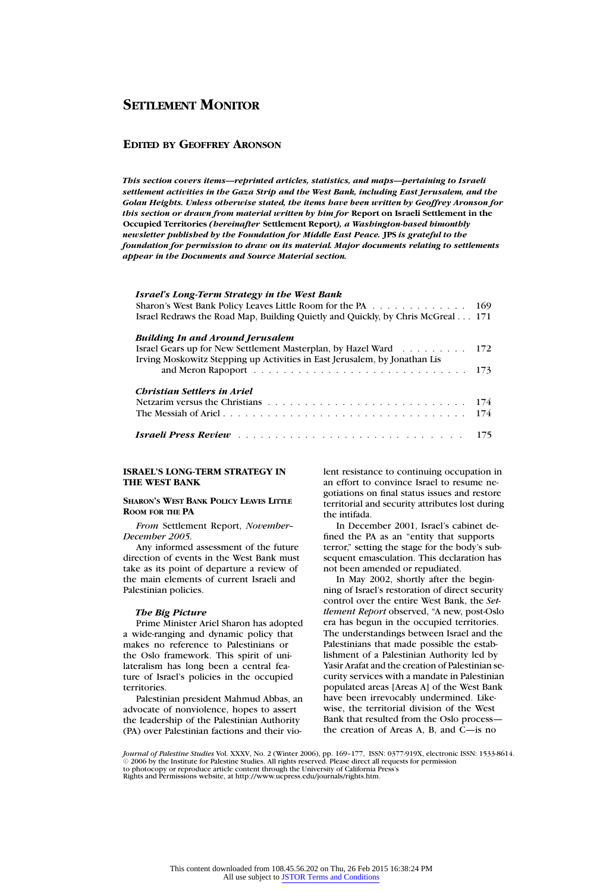## **EDITED BY GEOFFREY ARONSON**

*This section covers items—reprinted articles, statistics, and maps—pertaining to Israeli settlement activities in the Gaza Strip and the West Bank, including East Jerusalem, and the Golan Heights. Unless otherwise stated, the items have been written by Geoffrey Aronson for this section or drawn from material written by him for* **Report on Israeli Settlement in the Occupied Territories** *(hereinafter* **Settlement Report***), a Washington-based bimonthly newsletter published by the Foundation for Middle East Peace.* **JPS** *is grateful to the foundation for permission to draw on its material. Major documents relating to settlements appear in the Documents and Source Material section.*

| <b>Israel's Long-Term Strategy in the West Bank</b>                                                                                                                                                                                 |  |
|-------------------------------------------------------------------------------------------------------------------------------------------------------------------------------------------------------------------------------------|--|
| Sharon's West Bank Policy Leaves Little Room for the PA 169                                                                                                                                                                         |  |
| Israel Redraws the Road Map, Building Quietly and Quickly, by Chris McGreal 171                                                                                                                                                     |  |
| <b>Building In and Around Jerusalem</b>                                                                                                                                                                                             |  |
| Israel Gears up for New Settlement Masterplan, by Hazel Ward 172                                                                                                                                                                    |  |
| Irving Moskowitz Stepping up Activities in East Jerusalem, by Jonathan Lis                                                                                                                                                          |  |
|                                                                                                                                                                                                                                     |  |
| Christian Settlers in Ariel                                                                                                                                                                                                         |  |
|                                                                                                                                                                                                                                     |  |
|                                                                                                                                                                                                                                     |  |
| <b>Israeli Press Review</b> resources resources in the settlement of the settlement of the settlement of the settlement of the settlement of the settlement of the settlement of the settlement of the settlement of the settlement |  |

## **ISRAEL'S LONG-TERM STRATEGY IN THE WEST BANK**

#### **SHARON'S WEST BANK POLICY LEAVES LITTLE ROOM FOR THE PA**

*From* Settlement Report, *November– December 2005.*

Any informed assessment of the future direction of events in the West Bank must take as its point of departure a review of the main elements of current Israeli and Palestinian policies.

#### *The Big Picture*

Prime Minister Ariel Sharon has adopted a wide-ranging and dynamic policy that makes no reference to Palestinians or the Oslo framework. This spirit of unilateralism has long been a central feature of Israel's policies in the occupied territories.

Palestinian president Mahmud Abbas, an advocate of nonviolence, hopes to assert the leadership of the Palestinian Authority (PA) over Palestinian factions and their vio-

lent resistance to continuing occupation in an effort to convince Israel to resume negotiations on final status issues and restore territorial and security attributes lost during the intifada.

In December 2001, Israel's cabinet defined the PA as an "entity that supports terror," setting the stage for the body's subsequent emasculation. This declaration has not been amended or repudiated.

In May 2002, shortly after the beginning of Israel's restoration of direct security control over the entire West Bank, the *Settlement Report* observed, "A new, post-Oslo era has begun in the occupied territories. The understandings between Israel and the Palestinians that made possible the establishment of a Palestinian Authority led by Yasir Arafat and the creation of Palestinian security services with a mandate in Palestinian populated areas [Areas A] of the West Bank have been irrevocably undermined. Likewise, the territorial division of the West Bank that resulted from the Oslo process the creation of Areas A, B, and C—is no

*Journal of Palestine Studies* Vol. XXXV, No. 2 (Winter 2006), pp. 169–177, ISSN: 0377-919X, electronic ISSN: 1533-8614.<br>© 2006 by the Institute for Palestine Studies. All rights reserved. Please direct all requests for p to photocopy or reproduce article content through the University of California Press's Rights and Permissions website, at http://www.ucpress.edu/journals/rights.htm.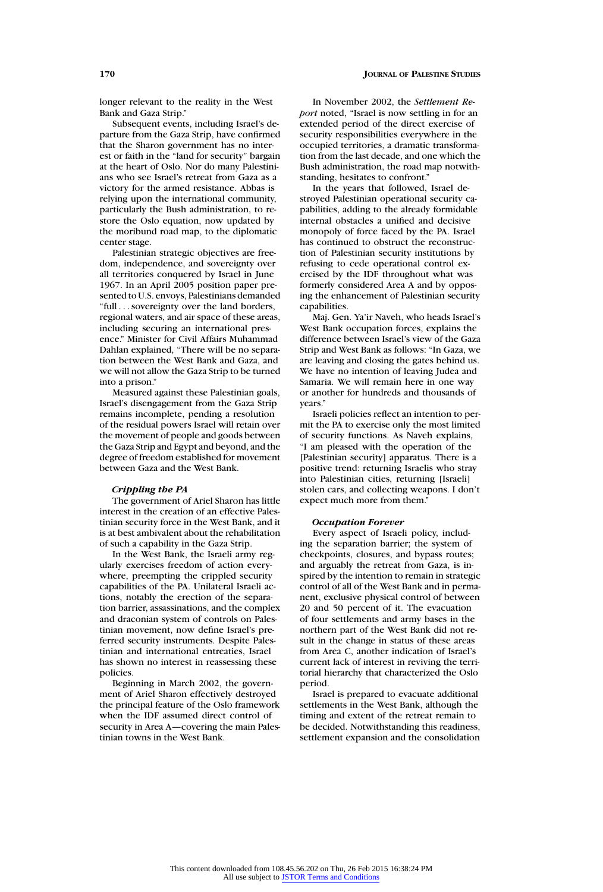longer relevant to the reality in the West Bank and Gaza Strip."

Subsequent events, including Israel's departure from the Gaza Strip, have confirmed that the Sharon government has no interest or faith in the "land for security" bargain at the heart of Oslo. Nor do many Palestinians who see Israel's retreat from Gaza as a victory for the armed resistance. Abbas is relying upon the international community, particularly the Bush administration, to restore the Oslo equation, now updated by the moribund road map, to the diplomatic center stage.

Palestinian strategic objectives are freedom, independence, and sovereignty over all territories conquered by Israel in June 1967. In an April 2005 position paper presented to U.S. envoys, Palestinians demanded "full ...sovereignty over the land borders, regional waters, and air space of these areas, including securing an international presence." Minister for Civil Affairs Muhammad Dahlan explained, "There will be no separation between the West Bank and Gaza, and we will not allow the Gaza Strip to be turned into a prison."

Measured against these Palestinian goals, Israel's disengagement from the Gaza Strip remains incomplete, pending a resolution of the residual powers Israel will retain over the movement of people and goods between the Gaza Strip and Egypt and beyond, and the degree of freedom established for movement between Gaza and the West Bank.

#### *Crippling the PA*

The government of Ariel Sharon has little interest in the creation of an effective Palestinian security force in the West Bank, and it is at best ambivalent about the rehabilitation of such a capability in the Gaza Strip.

In the West Bank, the Israeli army regularly exercises freedom of action everywhere, preempting the crippled security capabilities of the PA. Unilateral Israeli actions, notably the erection of the separation barrier, assassinations, and the complex and draconian system of controls on Palestinian movement, now define Israel's preferred security instruments. Despite Palestinian and international entreaties, Israel has shown no interest in reassessing these policies.

Beginning in March 2002, the government of Ariel Sharon effectively destroyed the principal feature of the Oslo framework when the IDF assumed direct control of security in Area A—covering the main Palestinian towns in the West Bank.

In November 2002, the *Settlement Report* noted, "Israel is now settling in for an extended period of the direct exercise of security responsibilities everywhere in the occupied territories, a dramatic transformation from the last decade, and one which the Bush administration, the road map notwithstanding, hesitates to confront."

In the years that followed, Israel destroyed Palestinian operational security capabilities, adding to the already formidable internal obstacles a unified and decisive monopoly of force faced by the PA. Israel has continued to obstruct the reconstruction of Palestinian security institutions by refusing to cede operational control exercised by the IDF throughout what was formerly considered Area A and by opposing the enhancement of Palestinian security capabilities.

Maj. Gen. Ya'ir Naveh, who heads Israel's West Bank occupation forces, explains the difference between Israel's view of the Gaza Strip and West Bank as follows: "In Gaza, we are leaving and closing the gates behind us. We have no intention of leaving Judea and Samaria. We will remain here in one way or another for hundreds and thousands of years."

Israeli policies reflect an intention to permit the PA to exercise only the most limited of security functions. As Naveh explains, "I am pleased with the operation of the [Palestinian security] apparatus. There is a positive trend: returning Israelis who stray into Palestinian cities, returning [Israeli] stolen cars, and collecting weapons. I don't expect much more from them."

#### *Occupation Forever*

Every aspect of Israeli policy, including the separation barrier; the system of checkpoints, closures, and bypass routes; and arguably the retreat from Gaza, is inspired by the intention to remain in strategic control of all of the West Bank and in permanent, exclusive physical control of between 20 and 50 percent of it. The evacuation of four settlements and army bases in the northern part of the West Bank did not result in the change in status of these areas from Area C, another indication of Israel's current lack of interest in reviving the territorial hierarchy that characterized the Oslo period.

Israel is prepared to evacuate additional settlements in the West Bank, although the timing and extent of the retreat remain to be decided. Notwithstanding this readiness, settlement expansion and the consolidation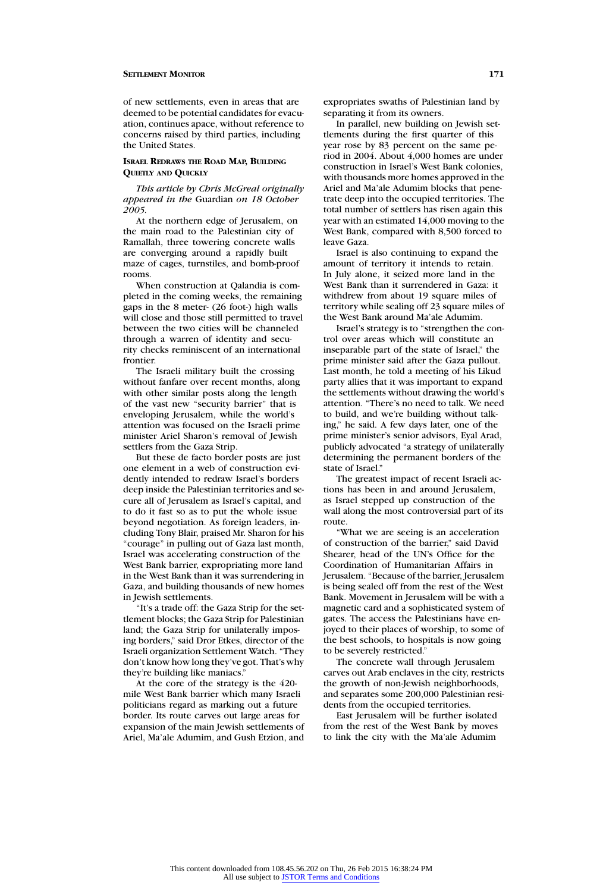of new settlements, even in areas that are deemed to be potential candidates for evacuation, continues apace, without reference to concerns raised by third parties, including the United States.

## **ISRAEL REDRAWS THE ROAD MAP, BUILDING QUIETLY AND QUICKLY**

*This article by Chris McGreal originally appeared in the* Guardian *on 18 October 2005.*

At the northern edge of Jerusalem, on the main road to the Palestinian city of Ramallah, three towering concrete walls are converging around a rapidly built maze of cages, turnstiles, and bomb-proof rooms.

When construction at Qalandia is completed in the coming weeks, the remaining gaps in the 8 meter- (26 foot-) high walls will close and those still permitted to travel between the two cities will be channeled through a warren of identity and security checks reminiscent of an international frontier.

The Israeli military built the crossing without fanfare over recent months, along with other similar posts along the length of the vast new "security barrier" that is enveloping Jerusalem, while the world's attention was focused on the Israeli prime minister Ariel Sharon's removal of Jewish settlers from the Gaza Strip.

But these de facto border posts are just one element in a web of construction evidently intended to redraw Israel's borders deep inside the Palestinian territories and secure all of Jerusalem as Israel's capital, and to do it fast so as to put the whole issue beyond negotiation. As foreign leaders, including Tony Blair, praised Mr. Sharon for his "courage" in pulling out of Gaza last month, Israel was accelerating construction of the West Bank barrier, expropriating more land in the West Bank than it was surrendering in Gaza, and building thousands of new homes in Jewish settlements.

"It's a trade off: the Gaza Strip for the settlement blocks; the Gaza Strip for Palestinian land; the Gaza Strip for unilaterally imposing borders," said Dror Etkes, director of the Israeli organization Settlement Watch. "They don't know how long they've got. That's why they're building like maniacs."

At the core of the strategy is the 420 mile West Bank barrier which many Israeli politicians regard as marking out a future border. Its route carves out large areas for expansion of the main Jewish settlements of Ariel, Ma'ale Adumim, and Gush Etzion, and

expropriates swaths of Palestinian land by separating it from its owners.

In parallel, new building on Jewish settlements during the first quarter of this year rose by 83 percent on the same period in 2004. About 4,000 homes are under construction in Israel's West Bank colonies, with thousands more homes approved in the Ariel and Ma'ale Adumim blocks that penetrate deep into the occupied territories. The total number of settlers has risen again this year with an estimated 14,000 moving to the West Bank, compared with 8,500 forced to leave Gaza.

Israel is also continuing to expand the amount of territory it intends to retain. In July alone, it seized more land in the West Bank than it surrendered in Gaza: it withdrew from about 19 square miles of territory while sealing off 23 square miles of the West Bank around Ma'ale Adumim.

Israel's strategy is to "strengthen the control over areas which will constitute an inseparable part of the state of Israel," the prime minister said after the Gaza pullout. Last month, he told a meeting of his Likud party allies that it was important to expand the settlements without drawing the world's attention. "There's no need to talk. We need to build, and we're building without talking," he said. A few days later, one of the prime minister's senior advisors, Eyal Arad, publicly advocated "a strategy of unilaterally determining the permanent borders of the state of Israel."

The greatest impact of recent Israeli actions has been in and around Jerusalem, as Israel stepped up construction of the wall along the most controversial part of its route.

"What we are seeing is an acceleration of construction of the barrier," said David Shearer, head of the UN's Office for the Coordination of Humanitarian Affairs in Jerusalem. "Because of the barrier, Jerusalem is being sealed off from the rest of the West Bank. Movement in Jerusalem will be with a magnetic card and a sophisticated system of gates. The access the Palestinians have enjoyed to their places of worship, to some of the best schools, to hospitals is now going to be severely restricted."

The concrete wall through Jerusalem carves out Arab enclaves in the city, restricts the growth of non-Jewish neighborhoods, and separates some 200,000 Palestinian residents from the occupied territories.

East Jerusalem will be further isolated from the rest of the West Bank by moves to link the city with the Ma'ale Adumim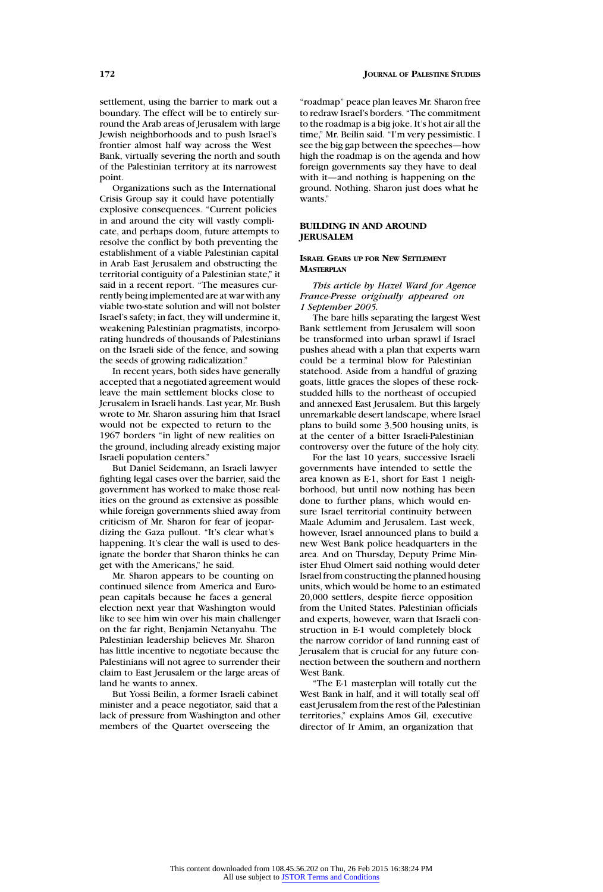settlement, using the barrier to mark out a boundary. The effect will be to entirely surround the Arab areas of Jerusalem with large Jewish neighborhoods and to push Israel's frontier almost half way across the West Bank, virtually severing the north and south of the Palestinian territory at its narrowest point.

Organizations such as the International Crisis Group say it could have potentially explosive consequences. "Current policies in and around the city will vastly complicate, and perhaps doom, future attempts to resolve the conflict by both preventing the establishment of a viable Palestinian capital in Arab East Jerusalem and obstructing the territorial contiguity of a Palestinian state," it said in a recent report. "The measures currently being implemented are at war with any viable two-state solution and will not bolster Israel's safety; in fact, they will undermine it, weakening Palestinian pragmatists, incorporating hundreds of thousands of Palestinians on the Israeli side of the fence, and sowing the seeds of growing radicalization."

In recent years, both sides have generally accepted that a negotiated agreement would leave the main settlement blocks close to Jerusalem in Israeli hands. Last year, Mr. Bush wrote to Mr. Sharon assuring him that Israel would not be expected to return to the 1967 borders "in light of new realities on the ground, including already existing major Israeli population centers."

But Daniel Seidemann, an Israeli lawyer fighting legal cases over the barrier, said the government has worked to make those realities on the ground as extensive as possible while foreign governments shied away from criticism of Mr. Sharon for fear of jeopardizing the Gaza pullout. "It's clear what's happening. It's clear the wall is used to designate the border that Sharon thinks he can get with the Americans," he said.

Mr. Sharon appears to be counting on continued silence from America and European capitals because he faces a general election next year that Washington would like to see him win over his main challenger on the far right, Benjamin Netanyahu. The Palestinian leadership believes Mr. Sharon has little incentive to negotiate because the Palestinians will not agree to surrender their claim to East Jerusalem or the large areas of land he wants to annex.

But Yossi Beilin, a former Israeli cabinet minister and a peace negotiator, said that a lack of pressure from Washington and other members of the Quartet overseeing the

"roadmap" peace plan leaves Mr. Sharon free to redraw Israel's borders. "The commitment to the roadmap is a big joke. It's hot air all the time," Mr. Beilin said. "I'm very pessimistic. I see the big gap between the speeches—how high the roadmap is on the agenda and how foreign governments say they have to deal with it—and nothing is happening on the ground. Nothing. Sharon just does what he wants."

## **BUILDING IN AND AROUND JERUSALEM**

#### **ISRAEL GEARS UP FOR NEW SETTLEMENT MASTERPLAN**

*This article by Hazel Ward for Agence France-Presse originally appeared on 1 September 2005.*

The bare hills separating the largest West Bank settlement from Jerusalem will soon be transformed into urban sprawl if Israel pushes ahead with a plan that experts warn could be a terminal blow for Palestinian statehood. Aside from a handful of grazing goats, little graces the slopes of these rockstudded hills to the northeast of occupied and annexed East Jerusalem. But this largely unremarkable desert landscape, where Israel plans to build some 3,500 housing units, is at the center of a bitter Israeli-Palestinian controversy over the future of the holy city.

For the last 10 years, successive Israeli governments have intended to settle the area known as E-1, short for East 1 neighborhood, but until now nothing has been done to further plans, which would ensure Israel territorial continuity between Maale Adumim and Jerusalem. Last week, however, Israel announced plans to build a new West Bank police headquarters in the area. And on Thursday, Deputy Prime Minister Ehud Olmert said nothing would deter Israel from constructing the planned housing units, which would be home to an estimated 20,000 settlers, despite fierce opposition from the United States. Palestinian officials and experts, however, warn that Israeli construction in E-1 would completely block the narrow corridor of land running east of Jerusalem that is crucial for any future connection between the southern and northern West Bank.

"The E-1 masterplan will totally cut the West Bank in half, and it will totally seal off east Jerusalem from the rest of the Palestinian territories," explains Amos Gil, executive director of Ir Amim, an organization that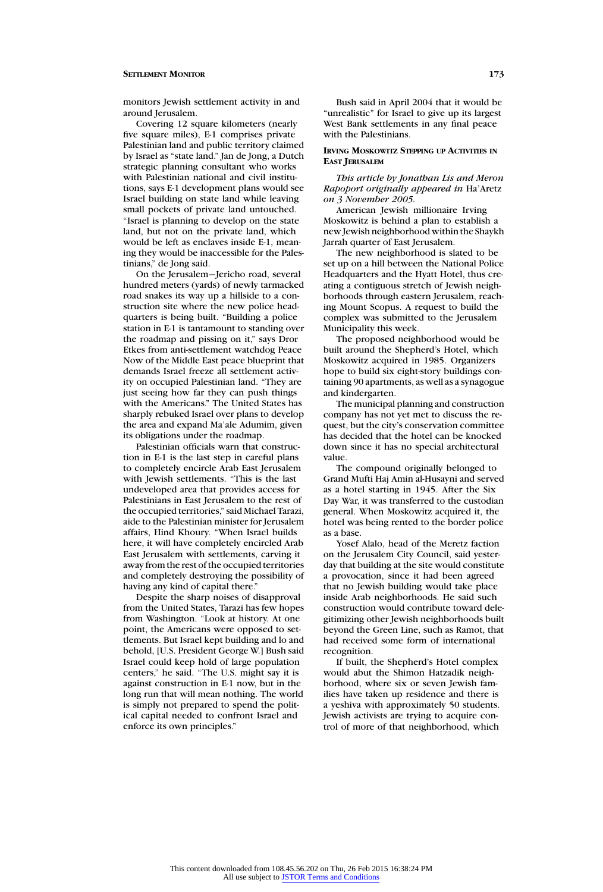monitors Jewish settlement activity in and around Jerusalem.

Covering 12 square kilometers (nearly five square miles), E-1 comprises private Palestinian land and public territory claimed by Israel as "state land." Jan de Jong, a Dutch strategic planning consultant who works with Palestinian national and civil institutions, says E-1 development plans would see Israel building on state land while leaving small pockets of private land untouched. "Israel is planning to develop on the state land, but not on the private land, which would be left as enclaves inside E-1, meaning they would be inaccessible for the Palestinians," de Jong said.

On the Jerusalem−Jericho road, several hundred meters (yards) of newly tarmacked road snakes its way up a hillside to a construction site where the new police headquarters is being built. "Building a police station in E-1 is tantamount to standing over the roadmap and pissing on it," says Dror Etkes from anti-settlement watchdog Peace Now of the Middle East peace blueprint that demands Israel freeze all settlement activity on occupied Palestinian land. "They are just seeing how far they can push things with the Americans." The United States has sharply rebuked Israel over plans to develop the area and expand Ma'ale Adumim, given its obligations under the roadmap.

Palestinian officials warn that construction in E-1 is the last step in careful plans to completely encircle Arab East Jerusalem with Jewish settlements. "This is the last undeveloped area that provides access for Palestinians in East Jerusalem to the rest of the occupied territories," said Michael Tarazi, aide to the Palestinian minister for Jerusalem affairs, Hind Khoury. "When Israel builds here, it will have completely encircled Arab East Jerusalem with settlements, carving it away from the rest of the occupied territories and completely destroying the possibility of having any kind of capital there."

Despite the sharp noises of disapproval from the United States, Tarazi has few hopes from Washington. "Look at history. At one point, the Americans were opposed to settlements. But Israel kept building and lo and behold, [U.S. President George W.] Bush said Israel could keep hold of large population centers," he said. "The U.S. might say it is against construction in E-1 now, but in the long run that will mean nothing. The world is simply not prepared to spend the political capital needed to confront Israel and enforce its own principles."

Bush said in April 2004 that it would be "unrealistic" for Israel to give up its largest West Bank settlements in any final peace with the Palestinians.

#### **IRVING MOSKOWITZ STEPPING UP ACTIVITIES IN EAST JERUSALEM**

*This article by Jonathan Lis and Meron Rapoport originally appeared in* Ha'Aretz *on 3 November 2005.*

American Jewish millionaire Irving Moskowitz is behind a plan to establish a new Jewish neighborhood within the Shaykh Jarrah quarter of East Jerusalem.

The new neighborhood is slated to be set up on a hill between the National Police Headquarters and the Hyatt Hotel, thus creating a contiguous stretch of Jewish neighborhoods through eastern Jerusalem, reaching Mount Scopus. A request to build the complex was submitted to the Jerusalem Municipality this week.

The proposed neighborhood would be built around the Shepherd's Hotel, which Moskowitz acquired in 1985. Organizers hope to build six eight-story buildings containing 90 apartments, as well as a synagogue and kindergarten.

The municipal planning and construction company has not yet met to discuss the request, but the city's conservation committee has decided that the hotel can be knocked down since it has no special architectural value.

The compound originally belonged to Grand Mufti Haj Amin al-Husayni and served as a hotel starting in 1945. After the Six Day War, it was transferred to the custodian general. When Moskowitz acquired it, the hotel was being rented to the border police as a base.

Yosef Alalo, head of the Meretz faction on the Jerusalem City Council, said yesterday that building at the site would constitute a provocation, since it had been agreed that no Jewish building would take place inside Arab neighborhoods. He said such construction would contribute toward delegitimizing other Jewish neighborhoods built beyond the Green Line, such as Ramot, that had received some form of international recognition.

If built, the Shepherd's Hotel complex would abut the Shimon Hatzadik neighborhood, where six or seven Jewish families have taken up residence and there is a yeshiva with approximately 50 students. Jewish activists are trying to acquire control of more of that neighborhood, which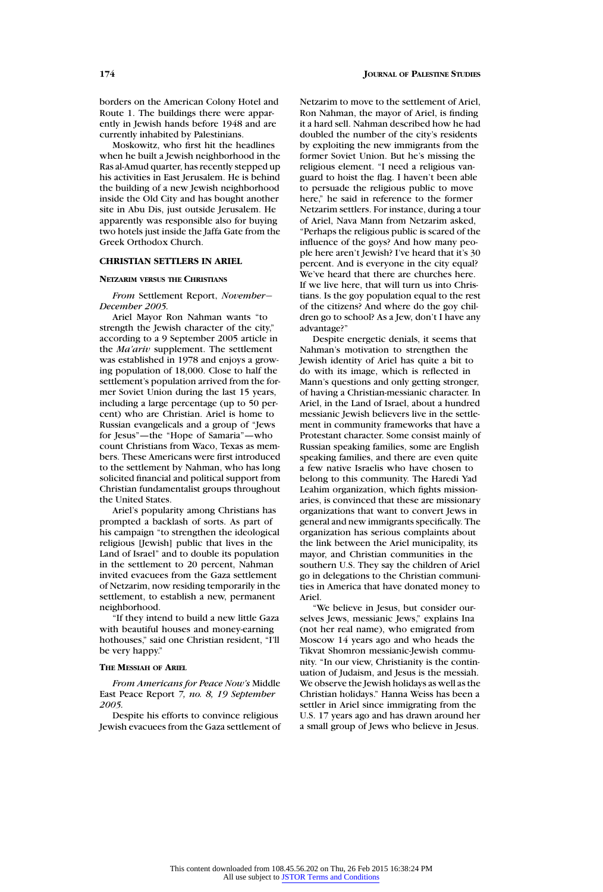borders on the American Colony Hotel and Route 1. The buildings there were apparently in Jewish hands before 1948 and are currently inhabited by Palestinians.

Moskowitz, who first hit the headlines when he built a Jewish neighborhood in the Ras al-Amud quarter, has recently stepped up his activities in East Jerusalem. He is behind the building of a new Jewish neighborhood inside the Old City and has bought another site in Abu Dis, just outside Jerusalem. He apparently was responsible also for buying two hotels just inside the Jaffa Gate from the Greek Orthodox Church.

#### **CHRISTIAN SETTLERS IN ARIEL**

#### **NETZARIM VERSUS THE CHRISTIANS**

*From* Settlement Report, *November*− *December 2005.*

Ariel Mayor Ron Nahman wants "to strength the Jewish character of the city," according to a 9 September 2005 article in the *Ma'ariv* supplement. The settlement was established in 1978 and enjoys a growing population of 18,000. Close to half the settlement's population arrived from the former Soviet Union during the last 15 years, including a large percentage (up to 50 percent) who are Christian. Ariel is home to Russian evangelicals and a group of "Jews for Jesus"—the "Hope of Samaria"—who count Christians from Waco, Texas as members. These Americans were first introduced to the settlement by Nahman, who has long solicited financial and political support from Christian fundamentalist groups throughout the United States.

Ariel's popularity among Christians has prompted a backlash of sorts. As part of his campaign "to strengthen the ideological religious [Jewish] public that lives in the Land of Israel" and to double its population in the settlement to 20 percent, Nahman invited evacuees from the Gaza settlement of Netzarim, now residing temporarily in the settlement, to establish a new, permanent neighborhood.

"If they intend to build a new little Gaza with beautiful houses and money-earning hothouses," said one Christian resident, "I'll be very happy."

#### **THE MESSIAH OF ARIEL**

*From Americans for Peace Now's* Middle East Peace Report *7, no. 8, 19 September 2005.*

Despite his efforts to convince religious Jewish evacuees from the Gaza settlement of Netzarim to move to the settlement of Ariel, Ron Nahman, the mayor of Ariel, is finding it a hard sell. Nahman described how he had doubled the number of the city's residents by exploiting the new immigrants from the former Soviet Union. But he's missing the religious element. "I need a religious vanguard to hoist the flag. I haven't been able to persuade the religious public to move here," he said in reference to the former Netzarim settlers. For instance, during a tour of Ariel, Nava Mann from Netzarim asked, "Perhaps the religious public is scared of the influence of the goys? And how many people here aren't Jewish? I've heard that it's 30 percent. And is everyone in the city equal? We've heard that there are churches here. If we live here, that will turn us into Christians. Is the goy population equal to the rest of the citizens? And where do the goy children go to school? As a Jew, don't I have any advantage?"

Despite energetic denials, it seems that Nahman's motivation to strengthen the Jewish identity of Ariel has quite a bit to do with its image, which is reflected in Mann's questions and only getting stronger, of having a Christian-messianic character. In Ariel, in the Land of Israel, about a hundred messianic Jewish believers live in the settlement in community frameworks that have a Protestant character. Some consist mainly of Russian speaking families, some are English speaking families, and there are even quite a few native Israelis who have chosen to belong to this community. The Haredi Yad Leahim organization, which fights missionaries, is convinced that these are missionary organizations that want to convert Jews in general and new immigrants specifically. The organization has serious complaints about the link between the Ariel municipality, its mayor, and Christian communities in the southern U.S. They say the children of Ariel go in delegations to the Christian communities in America that have donated money to Ariel.

"We believe in Jesus, but consider ourselves Jews, messianic Jews," explains Ina (not her real name), who emigrated from Moscow 14 years ago and who heads the Tikvat Shomron messianic-Jewish community. "In our view, Christianity is the continuation of Judaism, and Jesus is the messiah. We observe the Jewish holidays as well as the Christian holidays." Hanna Weiss has been a settler in Ariel since immigrating from the U.S. 17 years ago and has drawn around her a small group of Jews who believe in Jesus.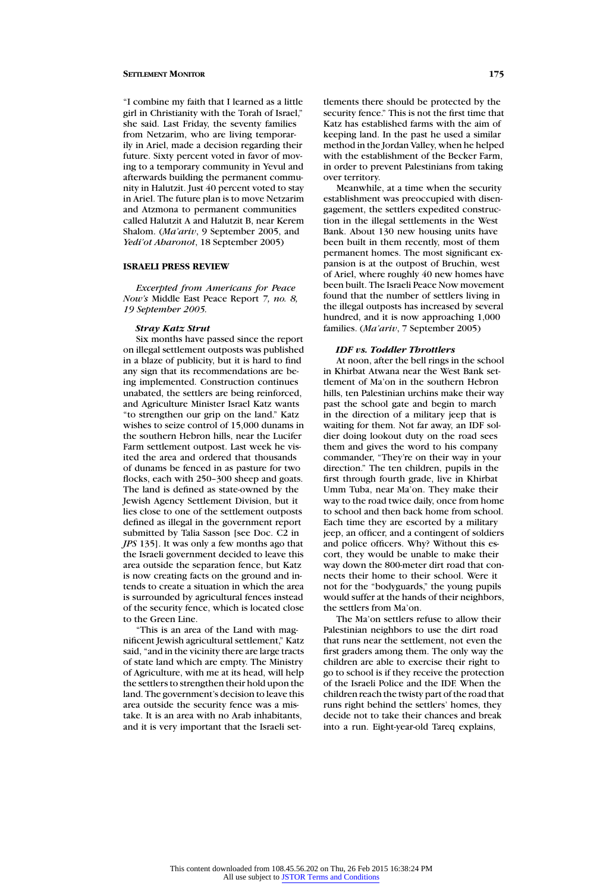"I combine my faith that I learned as a little girl in Christianity with the Torah of Israel," she said. Last Friday, the seventy families from Netzarim, who are living temporarily in Ariel, made a decision regarding their future. Sixty percent voted in favor of moving to a temporary community in Yevul and afterwards building the permanent community in Halutzit. Just 40 percent voted to stay in Ariel. The future plan is to move Netzarim and Atzmona to permanent communities called Halutzit A and Halutzit B, near Kerem Shalom. (*Ma'ariv*, 9 September 2005, and *Yedi'ot Aharonot*, 18 September 2005)

#### **ISRAELI PRESS REVIEW**

*Excerpted from Americans for Peace Now's* Middle East Peace Report *7, no. 8, 19 September 2005.*

#### *Stray Katz Strut*

Six months have passed since the report on illegal settlement outposts was published in a blaze of publicity, but it is hard to find any sign that its recommendations are being implemented. Construction continues unabated, the settlers are being reinforced, and Agriculture Minister Israel Katz wants "to strengthen our grip on the land." Katz wishes to seize control of 15,000 dunams in the southern Hebron hills, near the Lucifer Farm settlement outpost. Last week he visited the area and ordered that thousands of dunams be fenced in as pasture for two flocks, each with 250–300 sheep and goats. The land is defined as state-owned by the Jewish Agency Settlement Division, but it lies close to one of the settlement outposts defined as illegal in the government report submitted by Talia Sasson [see Doc. C2 in *JPS* 135]. It was only a few months ago that the Israeli government decided to leave this area outside the separation fence, but Katz is now creating facts on the ground and intends to create a situation in which the area is surrounded by agricultural fences instead of the security fence, which is located close to the Green Line.

"This is an area of the Land with magnificent Jewish agricultural settlement," Katz said, "and in the vicinity there are large tracts of state land which are empty. The Ministry of Agriculture, with me at its head, will help the settlers to strengthen their hold upon the land. The government's decision to leave this area outside the security fence was a mistake. It is an area with no Arab inhabitants, and it is very important that the Israeli settlements there should be protected by the security fence." This is not the first time that Katz has established farms with the aim of keeping land. In the past he used a similar method in the Jordan Valley, when he helped with the establishment of the Becker Farm, in order to prevent Palestinians from taking over territory.

Meanwhile, at a time when the security establishment was preoccupied with disengagement, the settlers expedited construction in the illegal settlements in the West Bank. About 130 new housing units have been built in them recently, most of them permanent homes. The most significant expansion is at the outpost of Bruchin, west of Ariel, where roughly 40 new homes have been built. The Israeli Peace Now movement found that the number of settlers living in the illegal outposts has increased by several hundred, and it is now approaching 1,000 families. (*Ma'ariv*, 7 September 2005)

#### *IDF vs. Toddler Throttlers*

At noon, after the bell rings in the school in Khirbat Atwana near the West Bank settlement of Ma'on in the southern Hebron hills, ten Palestinian urchins make their way past the school gate and begin to march in the direction of a military jeep that is waiting for them. Not far away, an IDF soldier doing lookout duty on the road sees them and gives the word to his company commander, "They're on their way in your direction." The ten children, pupils in the first through fourth grade, live in Khirbat Umm Tuba, near Ma'on. They make their way to the road twice daily, once from home to school and then back home from school. Each time they are escorted by a military jeep, an officer, and a contingent of soldiers and police officers. Why? Without this escort, they would be unable to make their way down the 800-meter dirt road that connects their home to their school. Were it not for the "bodyguards," the young pupils would suffer at the hands of their neighbors, the settlers from Ma'on.

The Ma'on settlers refuse to allow their Palestinian neighbors to use the dirt road that runs near the settlement, not even the first graders among them. The only way the children are able to exercise their right to go to school is if they receive the protection of the Israeli Police and the IDF. When the children reach the twisty part of the road that runs right behind the settlers' homes, they decide not to take their chances and break into a run. Eight-year-old Tareq explains,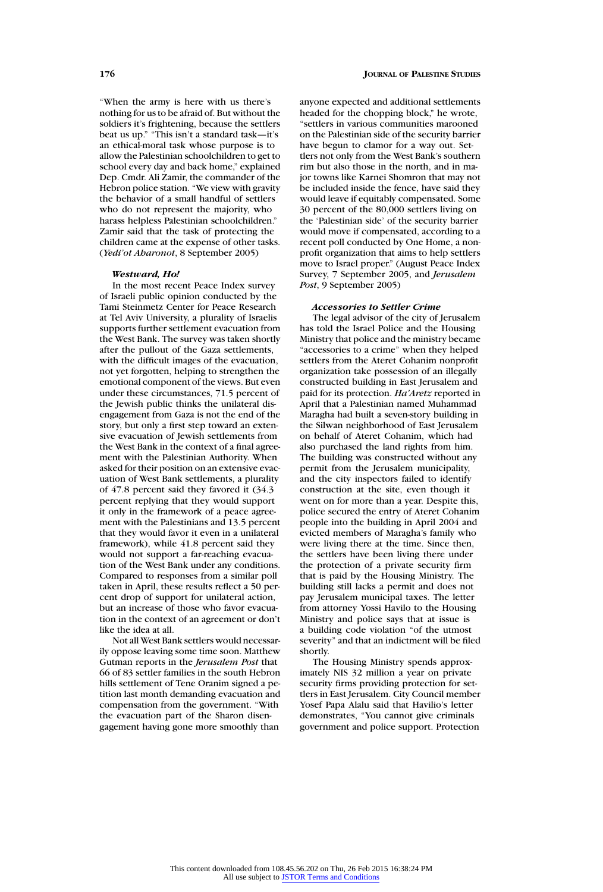"When the army is here with us there's nothing for us to be afraid of. But without the soldiers it's frightening, because the settlers beat us up." "This isn't a standard task—it's an ethical-moral task whose purpose is to allow the Palestinian schoolchildren to get to school every day and back home," explained Dep. Cmdr. Ali Zamir, the commander of the Hebron police station. "We view with gravity the behavior of a small handful of settlers who do not represent the majority, who harass helpless Palestinian schoolchildren." Zamir said that the task of protecting the children came at the expense of other tasks. (*Yedi'ot Aharonot*, 8 September 2005)

#### *Westward, Ho!*

In the most recent Peace Index survey of Israeli public opinion conducted by the Tami Steinmetz Center for Peace Research at Tel Aviv University, a plurality of Israelis supports further settlement evacuation from the West Bank. The survey was taken shortly after the pullout of the Gaza settlements, with the difficult images of the evacuation, not yet forgotten, helping to strengthen the emotional component of the views. But even under these circumstances, 71.5 percent of the Jewish public thinks the unilateral disengagement from Gaza is not the end of the story, but only a first step toward an extensive evacuation of Jewish settlements from the West Bank in the context of a final agreement with the Palestinian Authority. When asked for their position on an extensive evacuation of West Bank settlements, a plurality of 47.8 percent said they favored it (34.3 percent replying that they would support it only in the framework of a peace agreement with the Palestinians and 13.5 percent that they would favor it even in a unilateral framework), while 41.8 percent said they would not support a far-reaching evacuation of the West Bank under any conditions. Compared to responses from a similar poll taken in April, these results reflect a 50 percent drop of support for unilateral action, but an increase of those who favor evacuation in the context of an agreement or don't like the idea at all.

Not all West Bank settlers would necessarily oppose leaving some time soon. Matthew Gutman reports in the *Jerusalem Post* that 66 of 83 settler families in the south Hebron hills settlement of Tene Oranim signed a petition last month demanding evacuation and compensation from the government. "With the evacuation part of the Sharon disengagement having gone more smoothly than

anyone expected and additional settlements headed for the chopping block," he wrote, "settlers in various communities marooned on the Palestinian side of the security barrier have begun to clamor for a way out. Settlers not only from the West Bank's southern rim but also those in the north, and in major towns like Karnei Shomron that may not be included inside the fence, have said they would leave if equitably compensated. Some 30 percent of the 80,000 settlers living on the 'Palestinian side' of the security barrier would move if compensated, according to a recent poll conducted by One Home, a nonprofit organization that aims to help settlers move to Israel proper." (August Peace Index Survey, 7 September 2005, and *Jerusalem Post*, 9 September 2005)

## *Accessories to Settler Crime*

The legal advisor of the city of Jerusalem has told the Israel Police and the Housing Ministry that police and the ministry became "accessories to a crime" when they helped settlers from the Ateret Cohanim nonprofit organization take possession of an illegally constructed building in East Jerusalem and paid for its protection. *Ha'Aretz* reported in April that a Palestinian named Muhammad Maragha had built a seven-story building in the Silwan neighborhood of East Jerusalem on behalf of Ateret Cohanim, which had also purchased the land rights from him. The building was constructed without any permit from the Jerusalem municipality, and the city inspectors failed to identify construction at the site, even though it went on for more than a year. Despite this, police secured the entry of Ateret Cohanim people into the building in April 2004 and evicted members of Maragha's family who were living there at the time. Since then, the settlers have been living there under the protection of a private security firm that is paid by the Housing Ministry. The building still lacks a permit and does not pay Jerusalem municipal taxes. The letter from attorney Yossi Havilo to the Housing Ministry and police says that at issue is a building code violation "of the utmost severity" and that an indictment will be filed shortly.

The Housing Ministry spends approximately NIS 32 million a year on private security firms providing protection for settlers in East Jerusalem. City Council member Yosef Papa Alalu said that Havilio's letter demonstrates, "You cannot give criminals government and police support. Protection